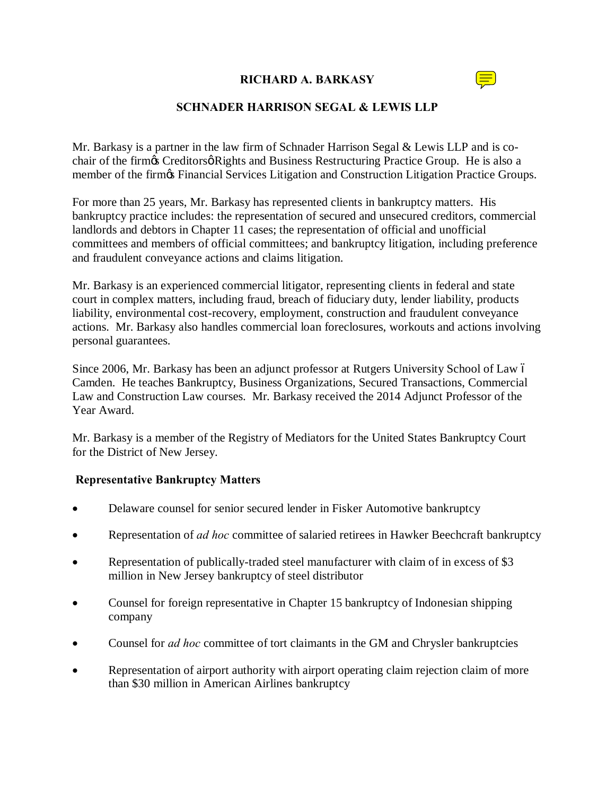# **RICHARD A. BARKASY**



## **SCHNADER HARRISON SEGAL & LEWIS LLP**

Mr. Barkasy is a partner in the law firm of Schnader Harrison Segal & Lewis LLP and is cochair of the firmgs Creditorsø Rights and Business Restructuring Practice Group. He is also a member of the firmgs Financial Services Litigation and Construction Litigation Practice Groups.

For more than 25 years, Mr. Barkasy has represented clients in bankruptcy matters. His bankruptcy practice includes: the representation of secured and unsecured creditors, commercial landlords and debtors in Chapter 11 cases; the representation of official and unofficial committees and members of official committees; and bankruptcy litigation, including preference and fraudulent conveyance actions and claims litigation.

Mr. Barkasy is an experienced commercial litigator, representing clients in federal and state court in complex matters, including fraud, breach of fiduciary duty, lender liability, products liability, environmental cost-recovery, employment, construction and fraudulent conveyance actions. Mr. Barkasy also handles commercial loan foreclosures, workouts and actions involving personal guarantees.

Since 2006, Mr. Barkasy has been an adjunct professor at Rutgers University School of Law – Camden. He teaches Bankruptcy, Business Organizations, Secured Transactions, Commercial Law and Construction Law courses. Mr. Barkasy received the 2014 Adjunct Professor of the Year Award.

Mr. Barkasy is a member of the Registry of Mediators for the United States Bankruptcy Court for the District of New Jersey.

#### **Representative Bankruptcy Matters**

- Delaware counsel for senior secured lender in Fisker Automotive bankruptcy
- Representation of *ad hoc* committee of salaried retirees in Hawker Beechcraft bankruptcy
- Representation of publically-traded steel manufacturer with claim of in excess of \$3 million in New Jersey bankruptcy of steel distributor
- · Counsel for foreign representative in Chapter 15 bankruptcy of Indonesian shipping company
- · Counsel for *ad hoc* committee of tort claimants in the GM and Chrysler bankruptcies
- · Representation of airport authority with airport operating claim rejection claim of more than \$30 million in American Airlines bankruptcy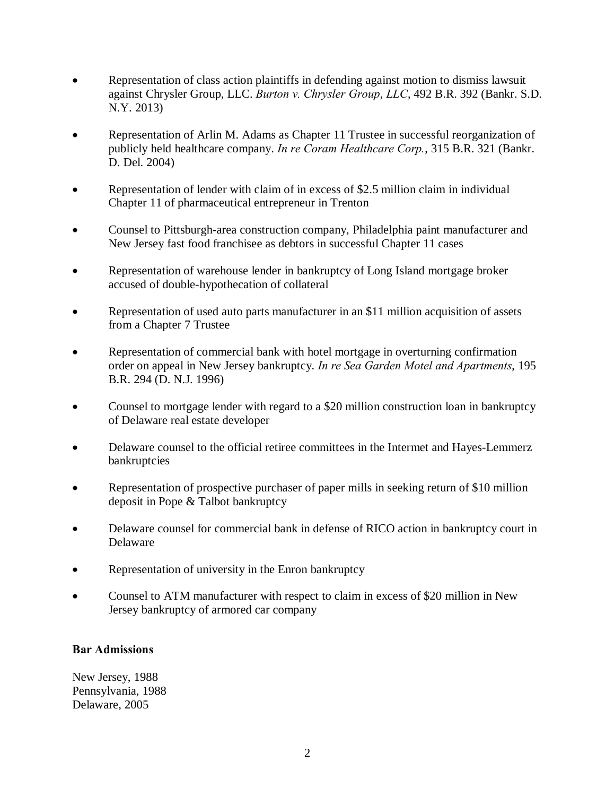- · Representation of class action plaintiffs in defending against motion to dismiss lawsuit against Chrysler Group, LLC. *Burton v. Chrysler Group*, *LLC*, 492 B.R. 392 (Bankr. S.D. N.Y. 2013)
- Representation of Arlin M. Adams as Chapter 11 Trustee in successful reorganization of publicly held healthcare company. *In re Coram Healthcare Corp.*, 315 B.R. 321 (Bankr. D. Del. 2004)
- Representation of lender with claim of in excess of \$2.5 million claim in individual Chapter 11 of pharmaceutical entrepreneur in Trenton
- · Counsel to Pittsburgh-area construction company, Philadelphia paint manufacturer and New Jersey fast food franchisee as debtors in successful Chapter 11 cases
- Representation of warehouse lender in bankruptcy of Long Island mortgage broker accused of double-hypothecation of collateral
- Representation of used auto parts manufacturer in an \$11 million acquisition of assets from a Chapter 7 Trustee
- Representation of commercial bank with hotel mortgage in overturning confirmation order on appeal in New Jersey bankruptcy. *In re Sea Garden Motel and Apartments*, 195 B.R. 294 (D. N.J. 1996)
- Counsel to mortgage lender with regard to a \$20 million construction loan in bankruptcy of Delaware real estate developer
- Delaware counsel to the official retiree committees in the Intermet and Hayes-Lemmerz bankruptcies
- Representation of prospective purchaser of paper mills in seeking return of \$10 million deposit in Pope & Talbot bankruptcy
- Delaware counsel for commercial bank in defense of RICO action in bankruptcy court in Delaware
- Representation of university in the Enron bankruptcy
- · Counsel to ATM manufacturer with respect to claim in excess of \$20 million in New Jersey bankruptcy of armored car company

## **Bar Admissions**

New Jersey, 1988 Pennsylvania, 1988 Delaware, 2005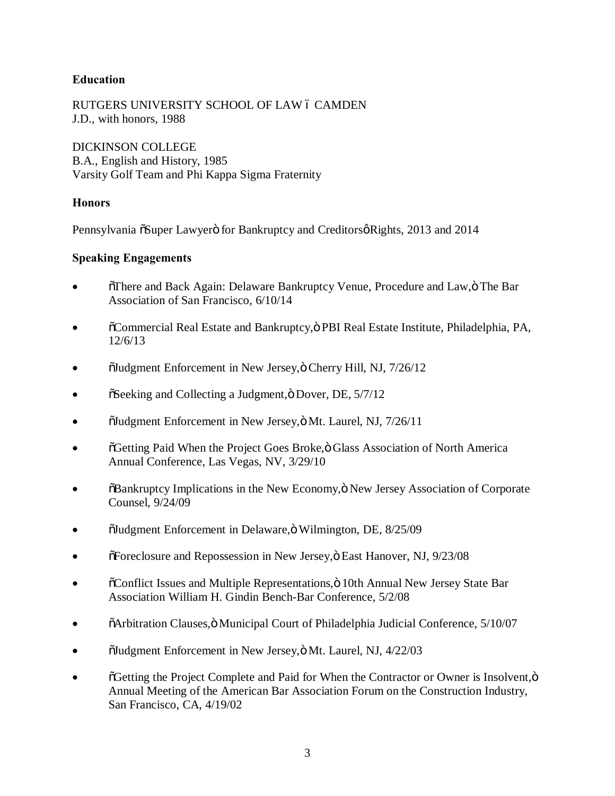### **Education**

RUTGERS UNIVERSITY SCHOOL OF LAW 6 CAMDEN J.D., with honors, 1988

DICKINSON COLLEGE B.A., English and History, 1985 Varsity Golf Team and Phi Kappa Sigma Fraternity

### **Honors**

Pennsylvania  $\delta$ Super Lawyer $\ddot{\sigma}$  for Bankruptcy and CreditorsøRights, 2013 and 2014

### **Speaking Engagements**

- There and Back Again: Delaware Bankruptcy Venue, Procedure and Law,  $\ddot{o}$  The Bar Association of San Francisco, 6/10/14
- · "Commercial Real Estate and Bankruptcy," PBI Real Estate Institute, Philadelphia, PA, 12/6/13
- ÖJudgment Enforcement in New Jersey, ö Cherry Hill, NJ, 7/26/12
- $\delta$ Seeking and Collecting a Judgment, $\ddot{\text{o}}$  Dover, DE,  $5/7/12$
- Öludgment Enforcement in New Jersey, ö Mt. Laurel, NJ, 7/26/11
- · "Getting Paid When the Project Goes Broke," Glass Association of North America Annual Conference, Las Vegas, NV, 3/29/10
- $\delta$ Bankruptcy Implications in the New Economy,  $\delta$  New Jersey Association of Corporate Counsel, 9/24/09
- Öludgment Enforcement in Delaware, ö Wilmington, DE, 8/25/09
- The Toreclosure and Repossession in New Jersey, ö East Hanover, NJ, 9/23/08
- Conflict Issues and Multiple Representations,  $\ddot{o}$  10th Annual New Jersey State Bar Association William H. Gindin Bench-Bar Conference, 5/2/08
- · "Arbitration Clauses," Municipal Court of Philadelphia Judicial Conference, 5/10/07
- $\tilde{\text{O}}$ Judgment Enforcement in New Jersey,  $\ddot{\text{o}}$  Mt. Laurel, NJ, 4/22/03
- Getting the Project Complete and Paid for When the Contractor or Owner is Insolvent,  $\ddot{o}$ Annual Meeting of the American Bar Association Forum on the Construction Industry, San Francisco, CA, 4/19/02